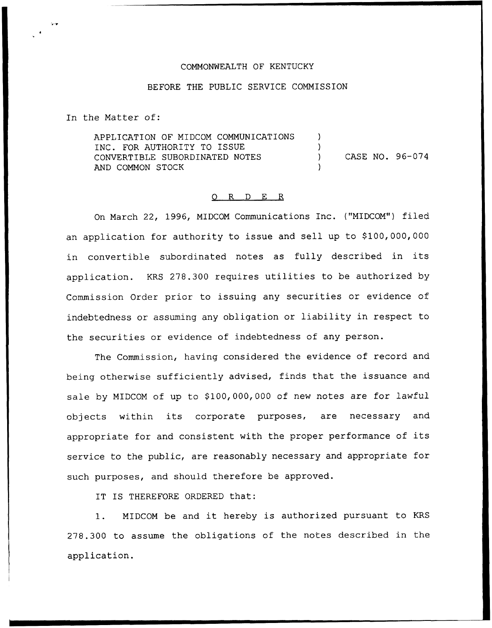## COMMONWEALTH OF KENTUCKY

## BEFORE THE PUBLIC SERVICE COMMISSION

In the Matter of:

APPLICATION OF MIDCOM COMMUNICATIONS INC. FOR AUTHORITY TO ISSUE CONVERTIBLE SUBORDINATED NOTES AND COMMON STOCK  $\lambda$ ) ) CASE NO. 96-074 )

## 0 R <sup>D</sup> E <sup>R</sup>

On March 22, 1996, MIDCOM Communications Inc. ("MIDCOM") filed an application for authority to issue and sell up to \$100,000,000 in convertible subordinated notes as fully described in its application. KRS 278.300 requires utilities to be authorized by Commission Order prior to issuing any securities or evidence of indebtedness or assuming any obligation or liability in respect to the securities or evidence of indebtedness of any person.

The Commission, having considered the evidence of record and being otherwise sufficiently advised, finds that the issuance and sale by MIDCOM of up to \$100,000,000 of new notes are for lawful objects within its corporate purposes, are necessary and appropriate for and consistent with the proper performance of its service to the public, are reasonably necessary and appropriate for such purposes, and should therefore be approved.

IT IS THEREFORE ORDERED that:

1. MIDCOM be and it hereby is authorized pursuant to KRS 278.300 to assume the obligations of the notes described in the application.